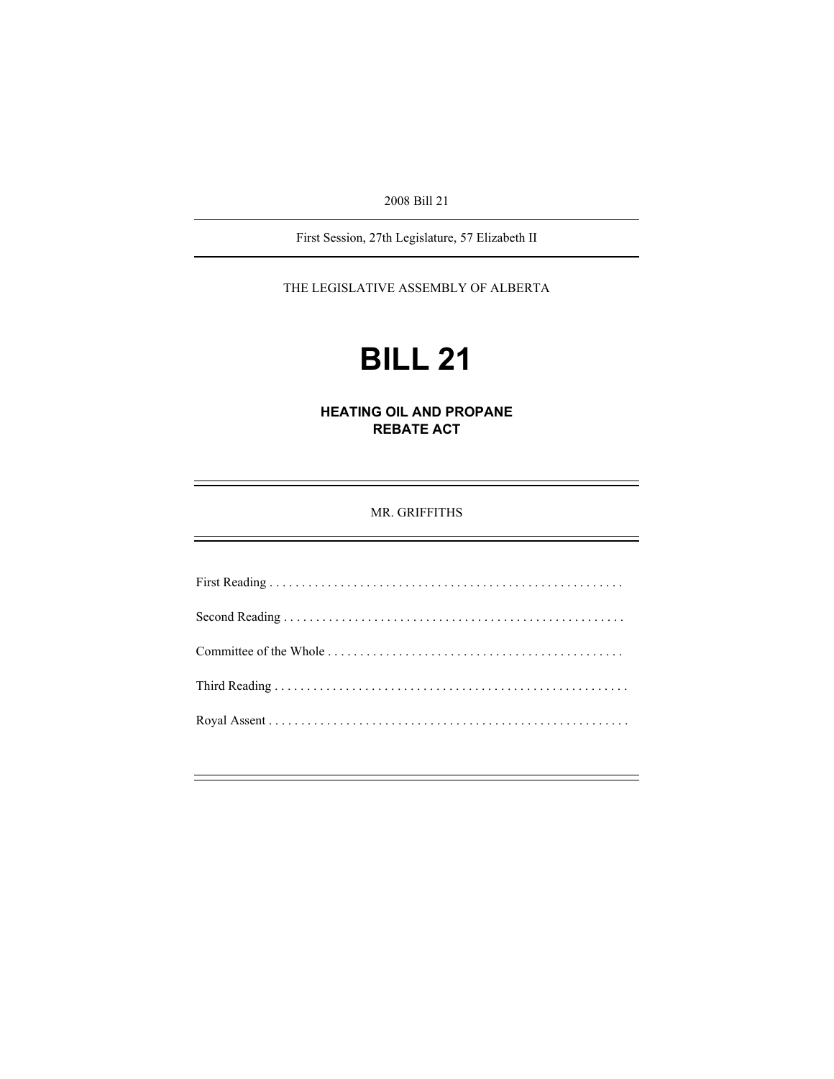2008 Bill 21

First Session, 27th Legislature, 57 Elizabeth II

THE LEGISLATIVE ASSEMBLY OF ALBERTA

# **BILL 21**

**HEATING OIL AND PROPANE REBATE ACT** 

MR. GRIFFITHS

First Reading . . . . . . . . . . . . . . . . . . . . . . . . . . . . . . . . . . . . . . . . . . . . . . . . . . . . . . . Second Reading . . . . . . . . . . . . . . . . . . . . . . . . . . . . . . . . . . . . . . . . . . . . . . . . . . . . . Committee of the Whole . . . . . . . . . . . . . . . . . . . . . . . . . . . . . . . . . . . . . . . . . . . . . . Third Reading . . . . . . . . . . . . . . . . . . . . . . . . . . . . . . . . . . . . . . . . . . . . . . . . . . . . . . . Royal Assent . . . . . . . . . . . . . . . . . . . . . . . . . . . . . . . . . . . . . . . . . . . . . . . . . . . . . . . .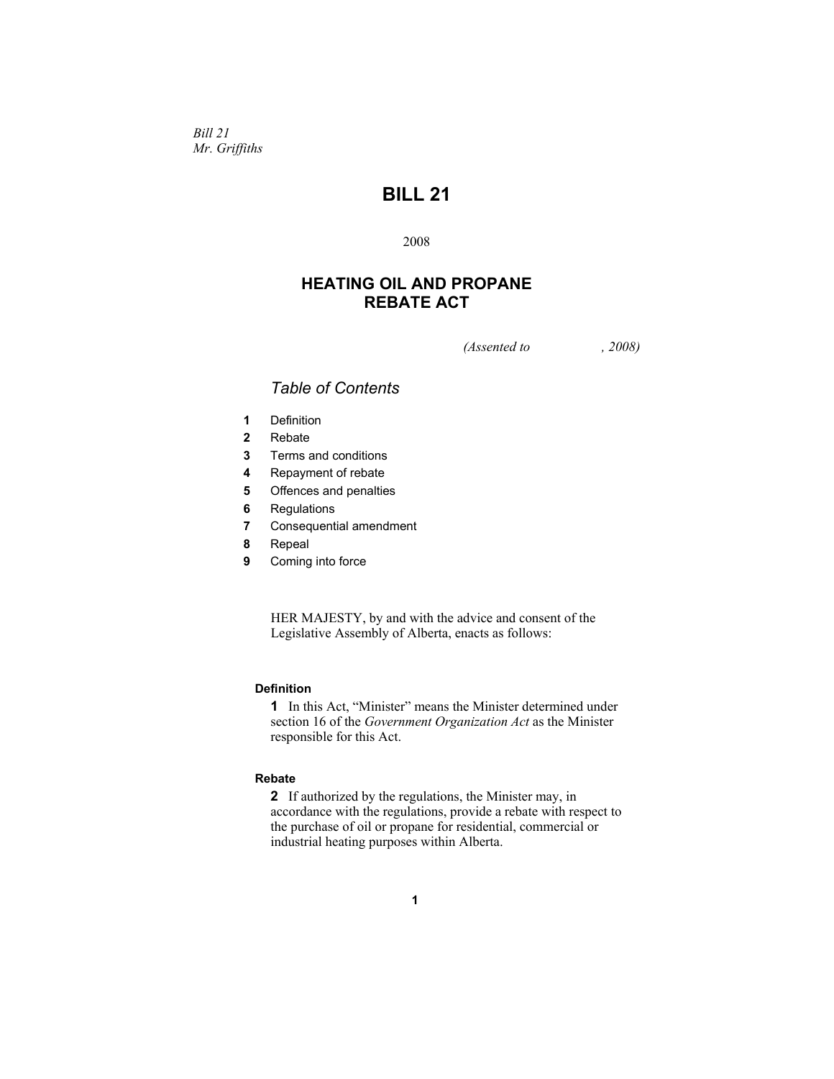*Bill 21 Mr. Griffiths* 

# **BILL 21**

2008

# **HEATING OIL AND PROPANE REBATE ACT**

*(Assented to , 2008)* 

# *Table of Contents*

- **1** Definition
- **2** Rebate
- **3** Terms and conditions
- **4** Repayment of rebate
- **5** Offences and penalties
- **6** Regulations
- **7** Consequential amendment
- **8** Repeal
- **9** Coming into force

HER MAJESTY, by and with the advice and consent of the Legislative Assembly of Alberta, enacts as follows:

### **Definition**

**1** In this Act, "Minister" means the Minister determined under section 16 of the *Government Organization Act* as the Minister responsible for this Act.

## **Rebate**

**2** If authorized by the regulations, the Minister may, in accordance with the regulations, provide a rebate with respect to the purchase of oil or propane for residential, commercial or industrial heating purposes within Alberta.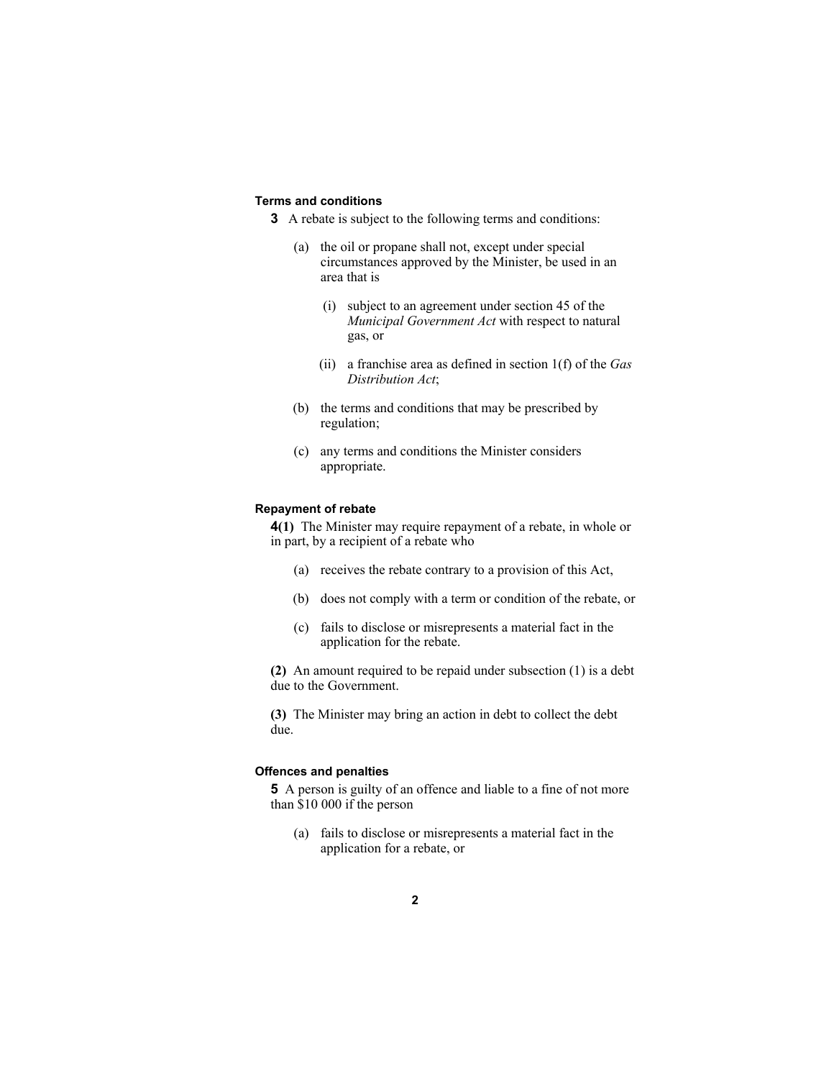## **Terms and conditions**

**3** A rebate is subject to the following terms and conditions:

- (a) the oil or propane shall not, except under special circumstances approved by the Minister, be used in an area that is
	- (i) subject to an agreement under section 45 of the *Municipal Government Act* with respect to natural gas, or
	- (ii) a franchise area as defined in section 1(f) of the *Gas Distribution Act*;
- (b) the terms and conditions that may be prescribed by regulation;
- (c) any terms and conditions the Minister considers appropriate.

#### **Repayment of rebate**

**4(1)** The Minister may require repayment of a rebate, in whole or in part, by a recipient of a rebate who

- (a) receives the rebate contrary to a provision of this Act,
- (b) does not comply with a term or condition of the rebate, or
- (c) fails to disclose or misrepresents a material fact in the application for the rebate.

**(2)** An amount required to be repaid under subsection (1) is a debt due to the Government.

**(3)** The Minister may bring an action in debt to collect the debt due.

## **Offences and penalties**

**5** A person is guilty of an offence and liable to a fine of not more than \$10 000 if the person

(a) fails to disclose or misrepresents a material fact in the application for a rebate, or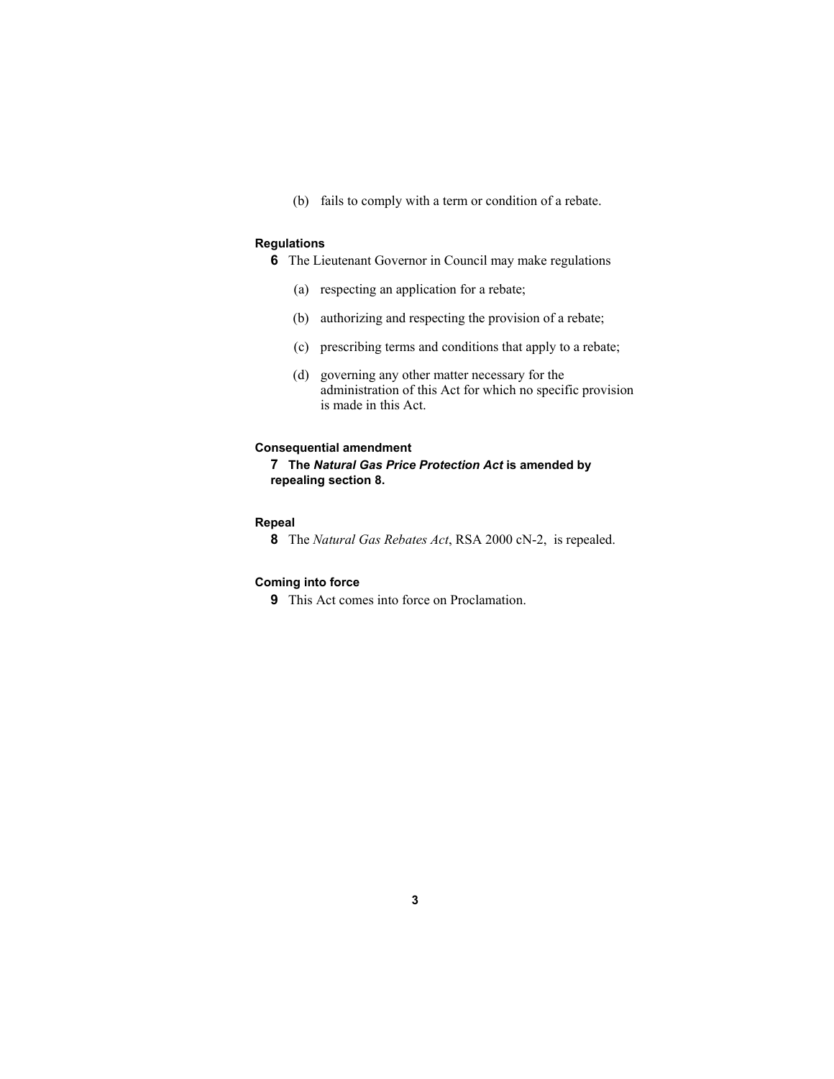(b) fails to comply with a term or condition of a rebate.

#### **Regulations**

**6** The Lieutenant Governor in Council may make regulations

- (a) respecting an application for a rebate;
- (b) authorizing and respecting the provision of a rebate;
- (c) prescribing terms and conditions that apply to a rebate;
- (d) governing any other matter necessary for the administration of this Act for which no specific provision is made in this Act.

#### **Consequential amendment**

**7 The** *Natural Gas Price Protection Act* **is amended by repealing section 8.**

## **Repeal**

**8** The *Natural Gas Rebates Act*, RSA 2000 cN-2, is repealed.

## **Coming into force**

**9** This Act comes into force on Proclamation.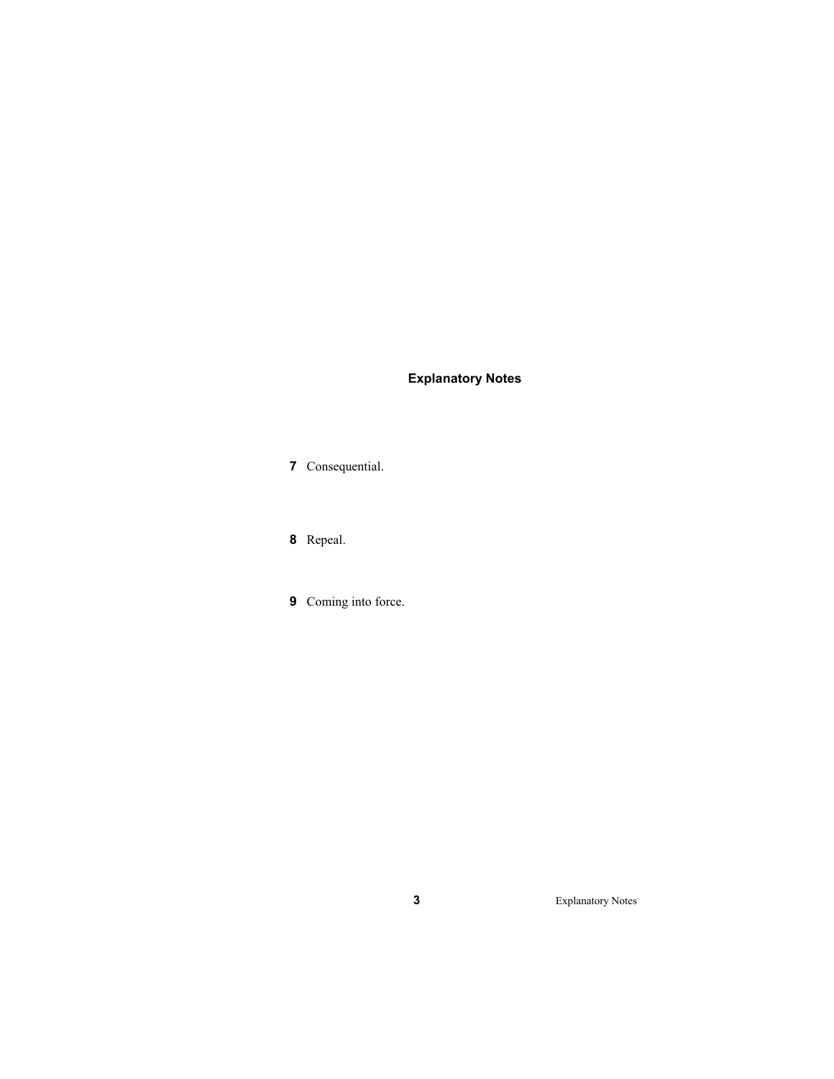# **Explanatory Notes**

Consequential.

Repeal.

Coming into force.

Explanatory Notes